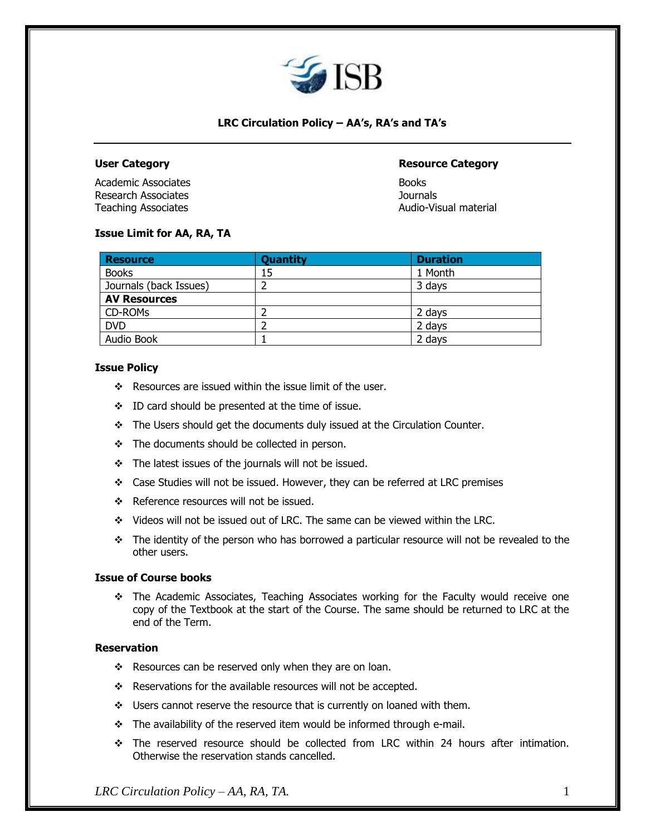

# **LRC Circulation Policy – AA's, RA's and TA's**

Academic Associates **Books** Books **Books** Research Associates Journals Teaching Associates **Audio-Visual material** 

# **User Category Resource Category**

## **Issue Limit for AA, RA, TA**

| <b>Resource</b>        | <b>Quantity</b> | <b>Duration</b> |
|------------------------|-----------------|-----------------|
| <b>Books</b>           | 15              | 1 Month         |
| Journals (back Issues) |                 | 3 days          |
| <b>AV Resources</b>    |                 |                 |
| CD-ROM <sub>S</sub>    |                 | 2 days          |
| <b>DVD</b>             |                 | 2 days          |
| Audio Book             |                 | 2 days          |

### **Issue Policy**

- ❖ Resources are issued within the issue limit of the user.
- ❖ ID card should be presented at the time of issue.
- ❖ The Users should get the documents duly issued at the Circulation Counter.
- ❖ The documents should be collected in person.
- ❖ The latest issues of the journals will not be issued.
- ❖ Case Studies will not be issued. However, they can be referred at LRC premises
- ❖ Reference resources will not be issued.
- ❖ Videos will not be issued out of LRC. The same can be viewed within the LRC.
- ❖ The identity of the person who has borrowed a particular resource will not be revealed to the other users.

## **Issue of Course books**

❖ The Academic Associates, Teaching Associates working for the Faculty would receive one copy of the Textbook at the start of the Course. The same should be returned to LRC at the end of the Term.

### **Reservation**

- ❖ Resources can be reserved only when they are on loan.
- ❖ Reservations for the available resources will not be accepted.
- ❖ Users cannot reserve the resource that is currently on loaned with them.
- ❖ The availability of the reserved item would be informed through e-mail.
- ❖ The reserved resource should be collected from LRC within 24 hours after intimation. Otherwise the reservation stands cancelled.

*LRC Circulation Policy – AA, RA, TA.* 1